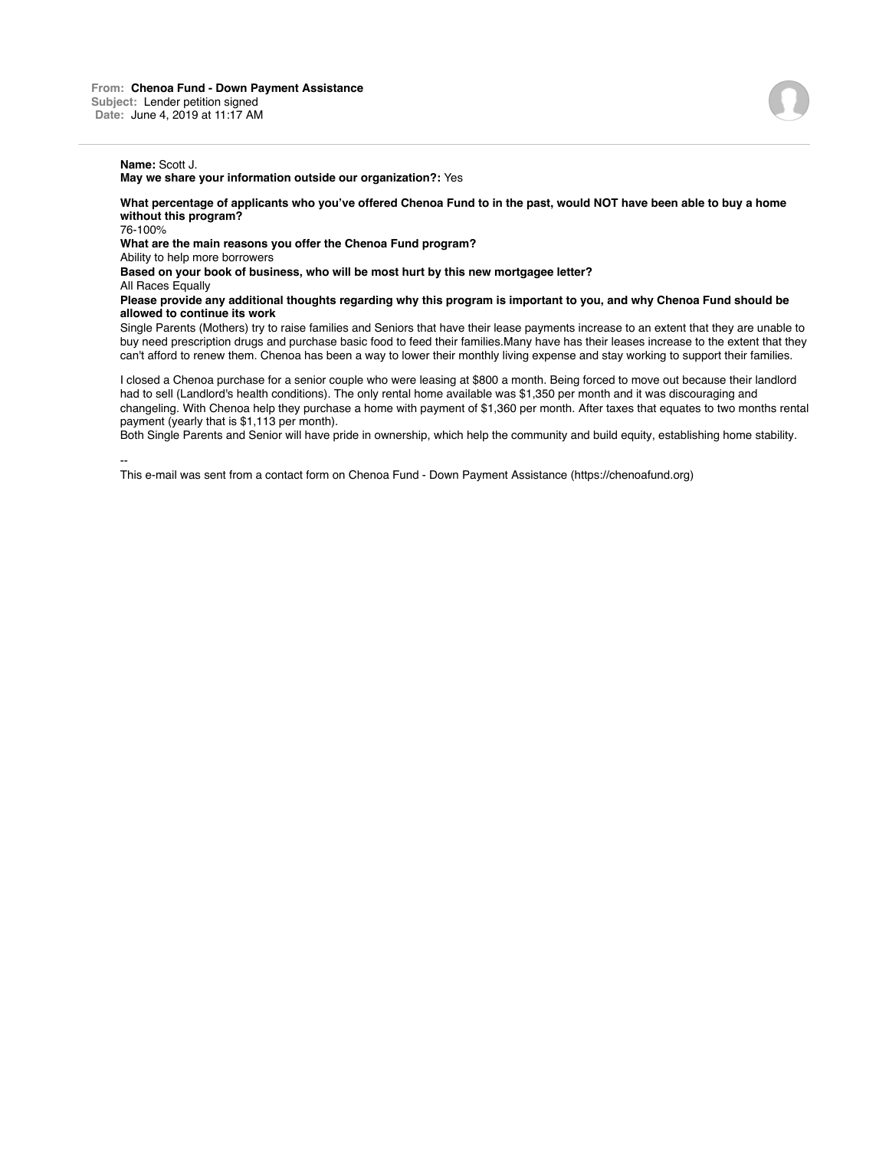**What percentage of applicants who you've offered Chenoa Fund to in the past, would NOT have been able to buy a home without this program?**

76-100%

**What are the main reasons you offer the Chenoa Fund program?**

Ability to help more borrowers

**Based on your book of business, who will be most hurt by this new mortgagee letter?**

All Races Equally

**Please provide any additional thoughts regarding why this program is important to you, and why Chenoa Fund should be allowed to continue its work**

Single Parents (Mothers) try to raise families and Seniors that have their lease payments increase to an extent that they are unable to buy need prescription drugs and purchase basic food to feed their families.Many have has their leases increase to the extent that they can't afford to renew them. Chenoa has been a way to lower their monthly living expense and stay working to support their families.

I closed a Chenoa purchase for a senior couple who were leasing at \$800 a month. Being forced to move out because their landlord had to sell (Landlord's health conditions). The only rental home available was \$1,350 per month and it was discouraging and changeling. With Chenoa help they purchase a home with payment of \$1,360 per month. After taxes that equates to two months rental payment (yearly that is \$1,113 per month).

Both Single Parents and Senior will have pride in ownership, which help the community and build equity, establishing home stability.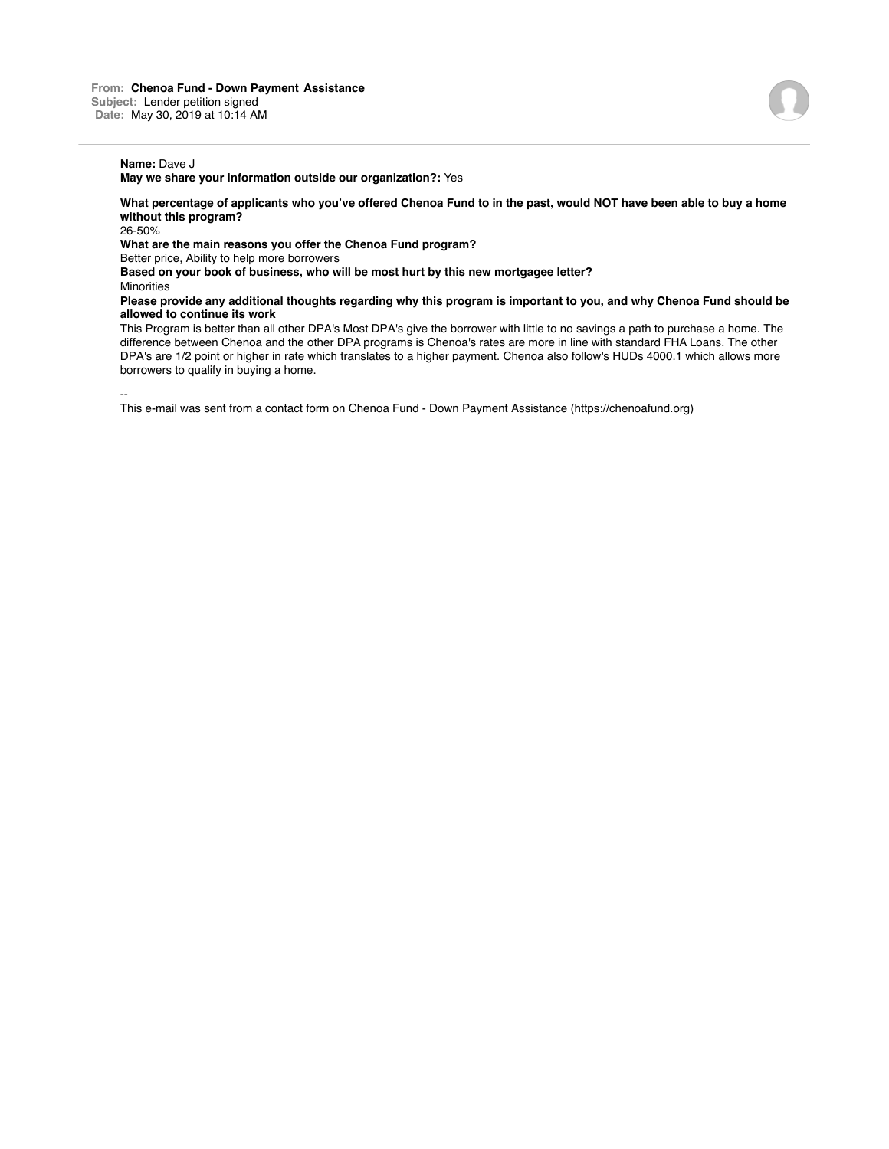**What percentage of applicants who you've offered Chenoa Fund to in the past, would NOT have been able to buy a home without this program?** 26-50%

**What are the main reasons you offer the Chenoa Fund program?**

Better price, Ability to help more borrowers

**Based on your book of business, who will be most hurt by this new mortgagee letter?**

**Minorities** 

**Please provide any additional thoughts regarding why this program is important to you, and why Chenoa Fund should be allowed to continue its work**

This Program is better than all other DPA's Most DPA's give the borrower with little to no savings a path to purchase a home. The difference between Chenoa and the other DPA programs is Chenoa's rates are more in line with standard FHA Loans. The other DPA's are 1/2 point or higher in rate which translates to a higher payment. Chenoa also follow's HUDs 4000.1 which allows more borrowers to qualify in buying a home.

--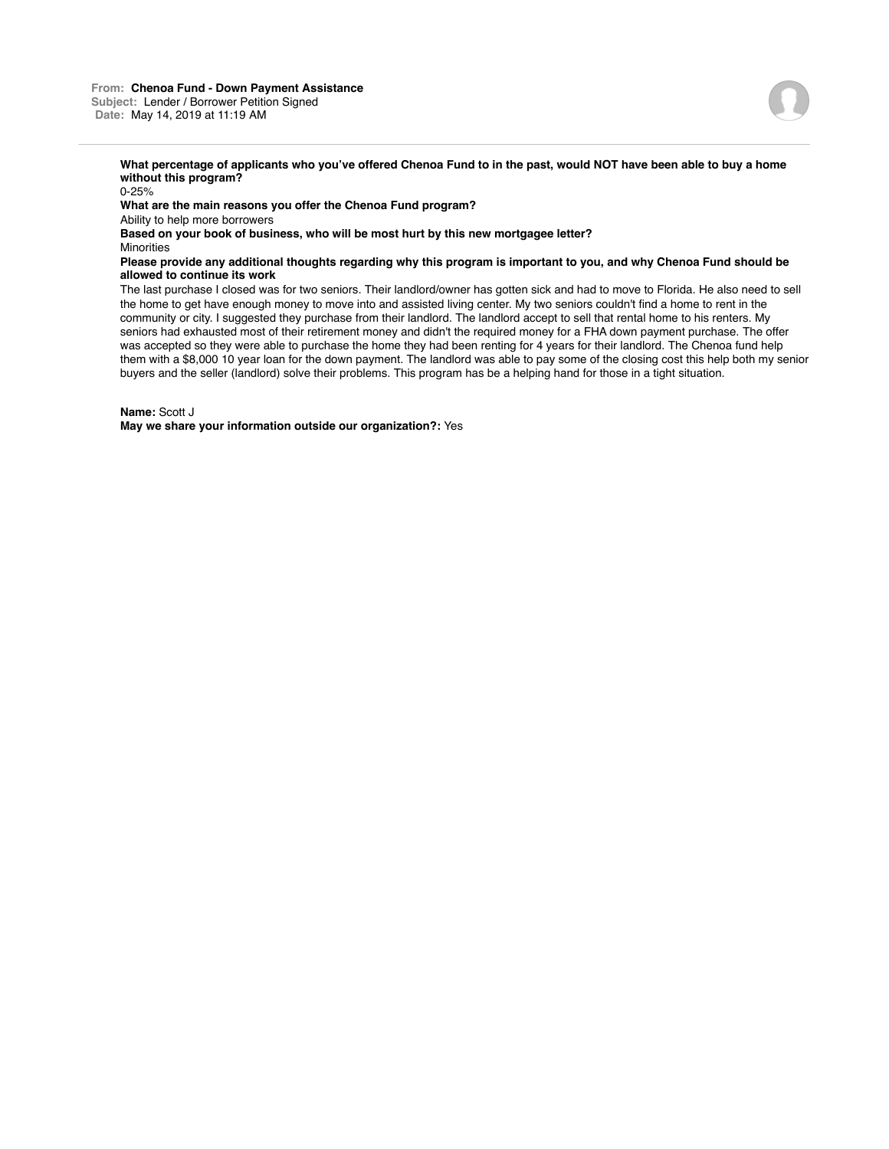0-25% **What are the main reasons you offer the Chenoa Fund program?** Ability to help more borrowers **Based on your book of business, who will be most hurt by this new mortgagee letter? Minorities** 

## **Please provide any additional thoughts regarding why this program is important to you, and why Chenoa Fund should be allowed to continue its work**

The last purchase I closed was for two seniors. Their landlord/owner has gotten sick and had to move to Florida. He also need to sell the home to get have enough money to move into and assisted living center. My two seniors couldn't find a home to rent in the community or city. I suggested they purchase from their landlord. The landlord accept to sell that rental home to his renters. My seniors had exhausted most of their retirement money and didn't the required money for a FHA down payment purchase. The offer was accepted so they were able to purchase the home they had been renting for 4 years for their landlord. The Chenoa fund help them with a \$8,000 10 year loan for the down payment. The landlord was able to pay some of the closing cost this help both my senior buyers and the seller (landlord) solve their problems. This program has be a helping hand for those in a tight situation.

**Name:** Scott J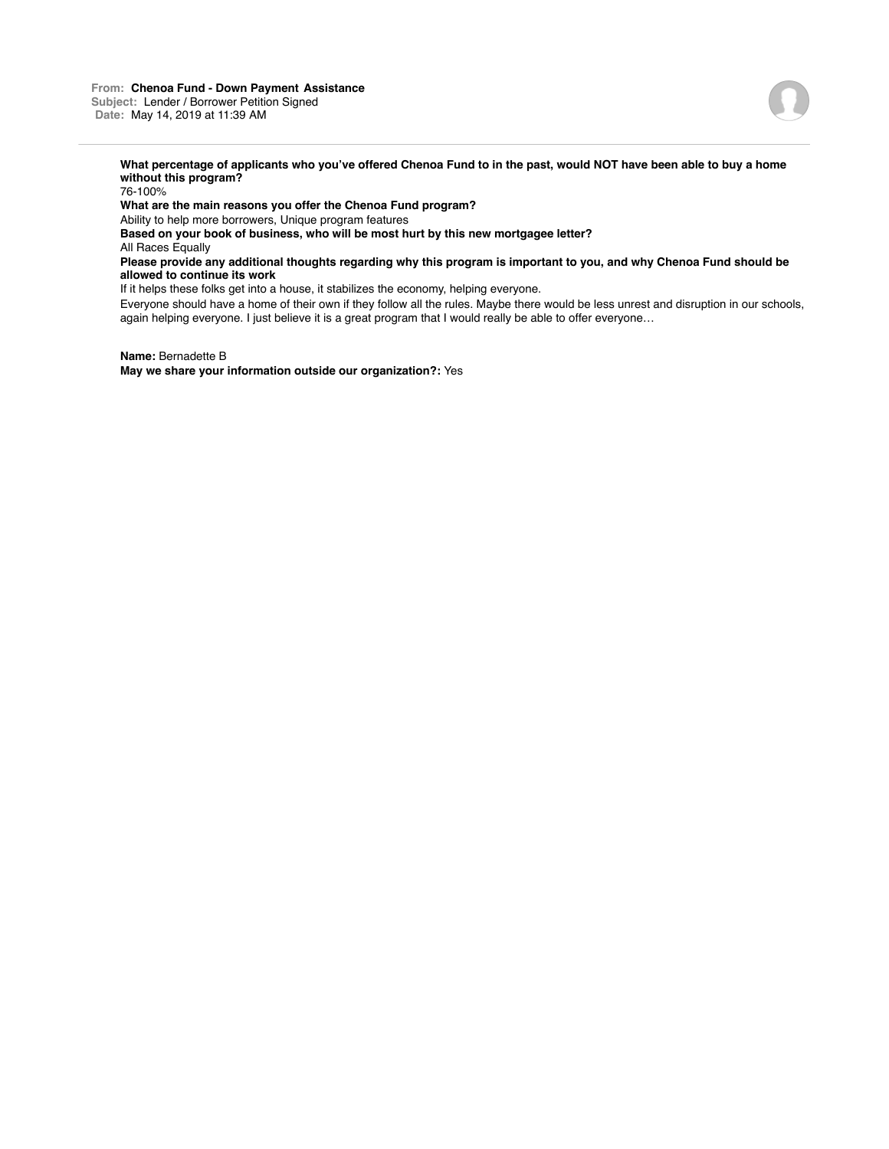

76-100%

**What are the main reasons you offer the Chenoa Fund program?**

Ability to help more borrowers, Unique program features

**Based on your book of business, who will be most hurt by this new mortgagee letter?**

All Races Equally

# **Please provide any additional thoughts regarding why this program is important to you, and why Chenoa Fund should be allowed to continue its work**

If it helps these folks get into a house, it stabilizes the economy, helping everyone.

Everyone should have a home of their own if they follow all the rules. Maybe there would be less unrest and disruption in our schools, again helping everyone. I just believe it is a great program that I would really be able to offer everyone…

**Name:** Bernadette B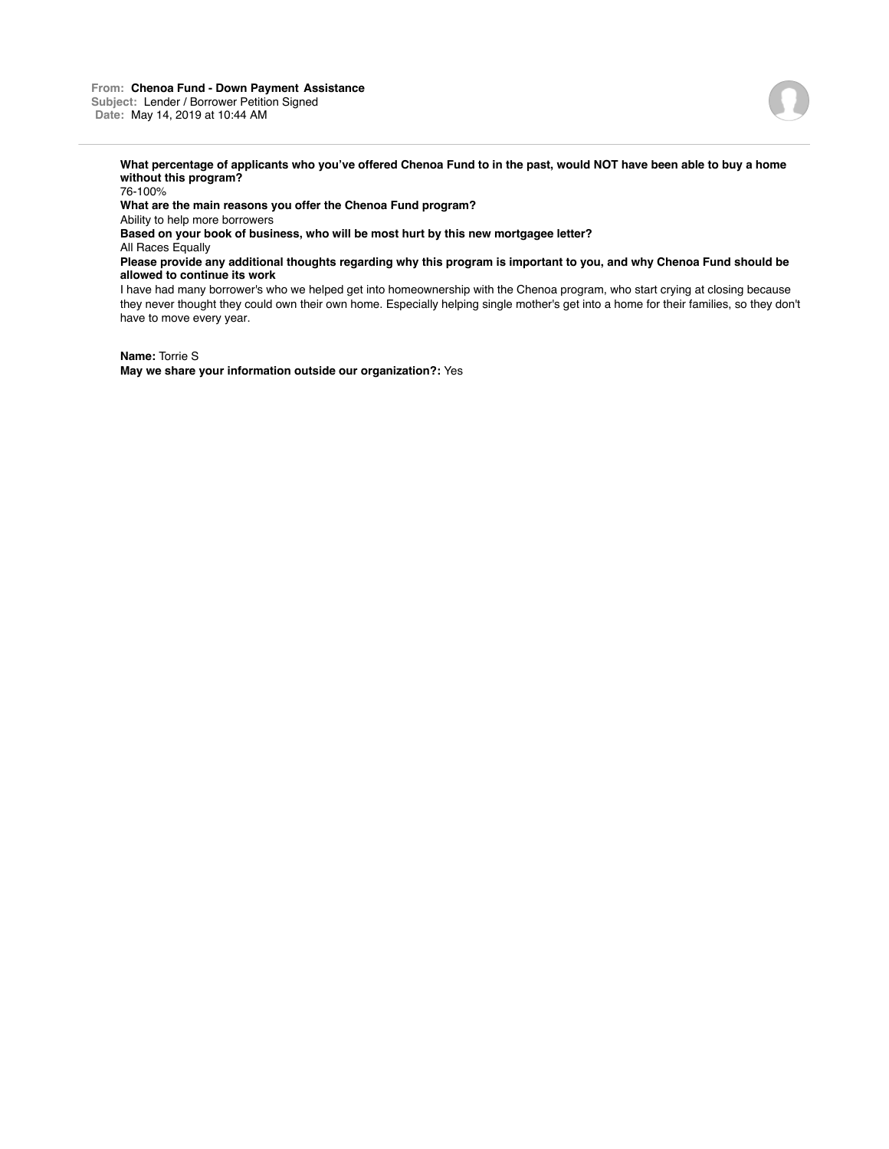### **From: Chenoa Fund - Down Payment Assistance Subject:** Lender / Borrower Petition Signed **Date:** May 14, 2019 at 10:44 AM

have to move every year.



**What percentage of applicants who you've offered Chenoa Fund to in the past, would NOT have been able to buy a home without this program?**

76-100% **What are the main reasons you offer the Chenoa Fund program?** Ability to help more borrowers **Based on your book of business, who will be most hurt by this new mortgagee letter?** All Races Equally **Please provide any additional thoughts regarding why this program is important to you, and why Chenoa Fund should be allowed to continue its work** I have had many borrower's who we helped get into homeownership with the Chenoa program, who start crying at closing because they never thought they could own their own home. Especially helping single mother's get into a home for their families, so they don't

**Name:** Torrie S **May we share your information outside our organization?:** Yes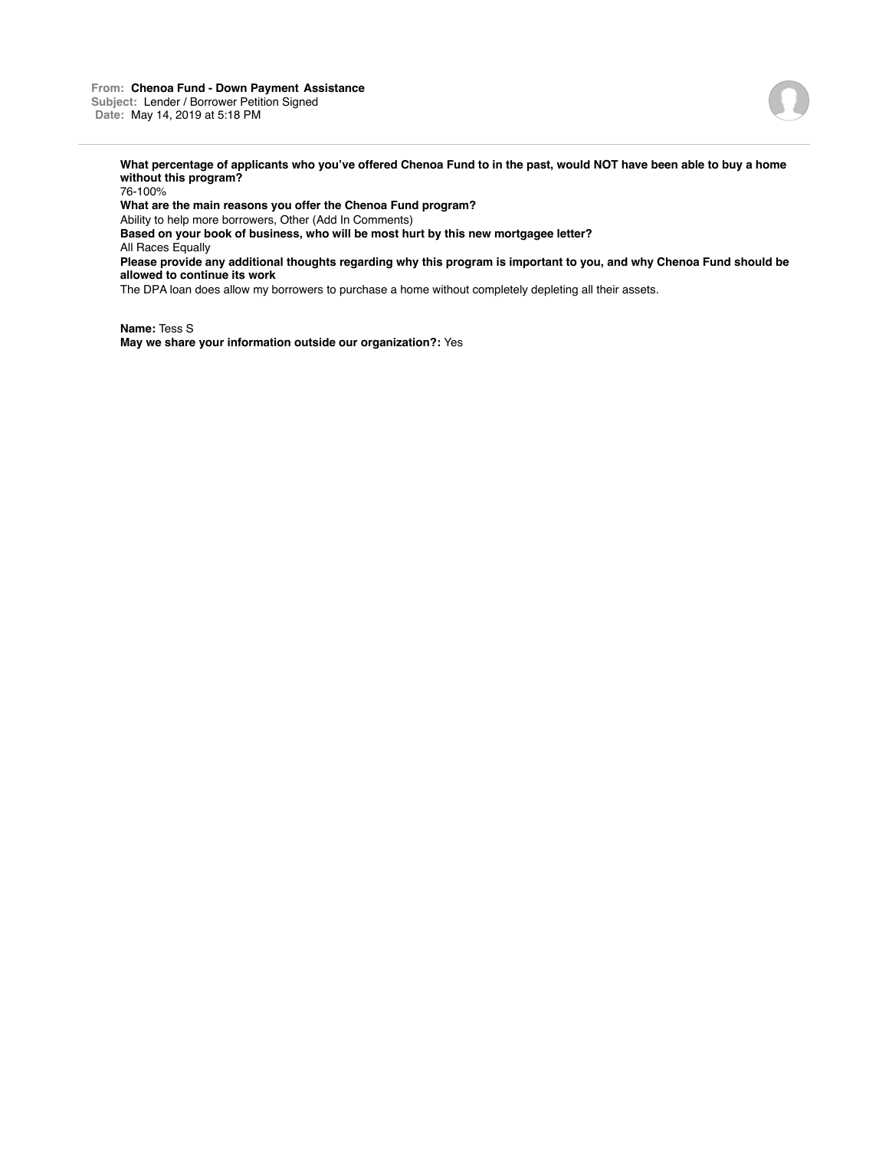

76-100% **What are the main reasons you offer the Chenoa Fund program?** Ability to help more borrowers, Other (Add In Comments) **Based on your book of business, who will be most hurt by this new mortgagee letter?** All Races Equally **Please provide any additional thoughts regarding why this program is important to you, and why Chenoa Fund should be allowed to continue its work** The DPA loan does allow my borrowers to purchase a home without completely depleting all their assets.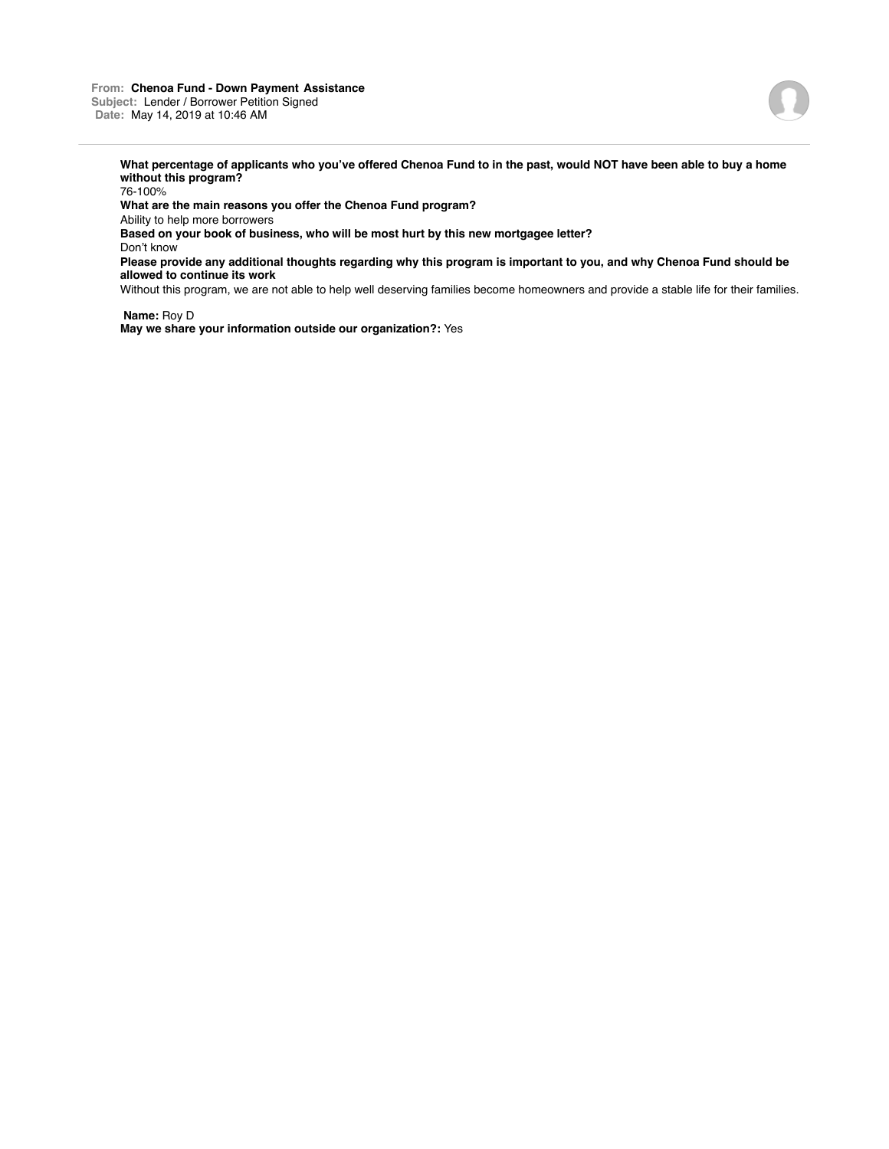

76-100%

**What are the main reasons you offer the Chenoa Fund program?**

Ability to help more borrowers

**Based on your book of business, who will be most hurt by this new mortgagee letter?**

Don't know

**Please provide any additional thoughts regarding why this program is important to you, and why Chenoa Fund should be allowed to continue its work**

Without this program, we are not able to help well deserving families become homeowners and provide a stable life for their families.

**Name:** Roy D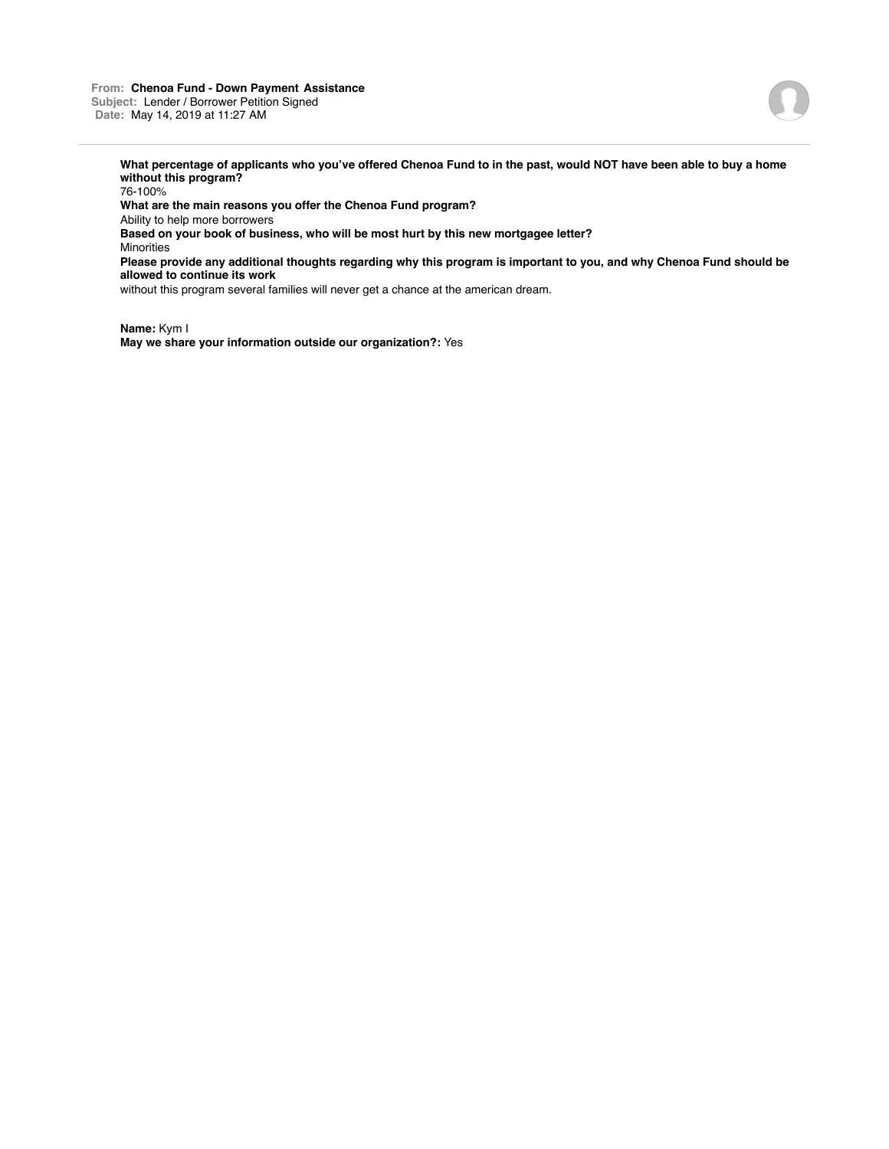### **From: Chenoa Fund - Down Payment Assistance Subject:** Lender / Borrower Petition Signed **Date:** May 14, 2019 at 11:27 AM



**What percentage of applicants who you've offered Chenoa Fund to in the past, would NOT have been able to buy a home without this program?**

76-100%

**What are the main reasons you offer the Chenoa Fund program?**

Ability to help more borrowers

**Based on your book of business, who will be most hurt by this new mortgagee letter?**

Minorities

**Please provide any additional thoughts regarding why this program is important to you, and why Chenoa Fund should be allowed to continue its work**

without this program several families will never get a chance at the american dream.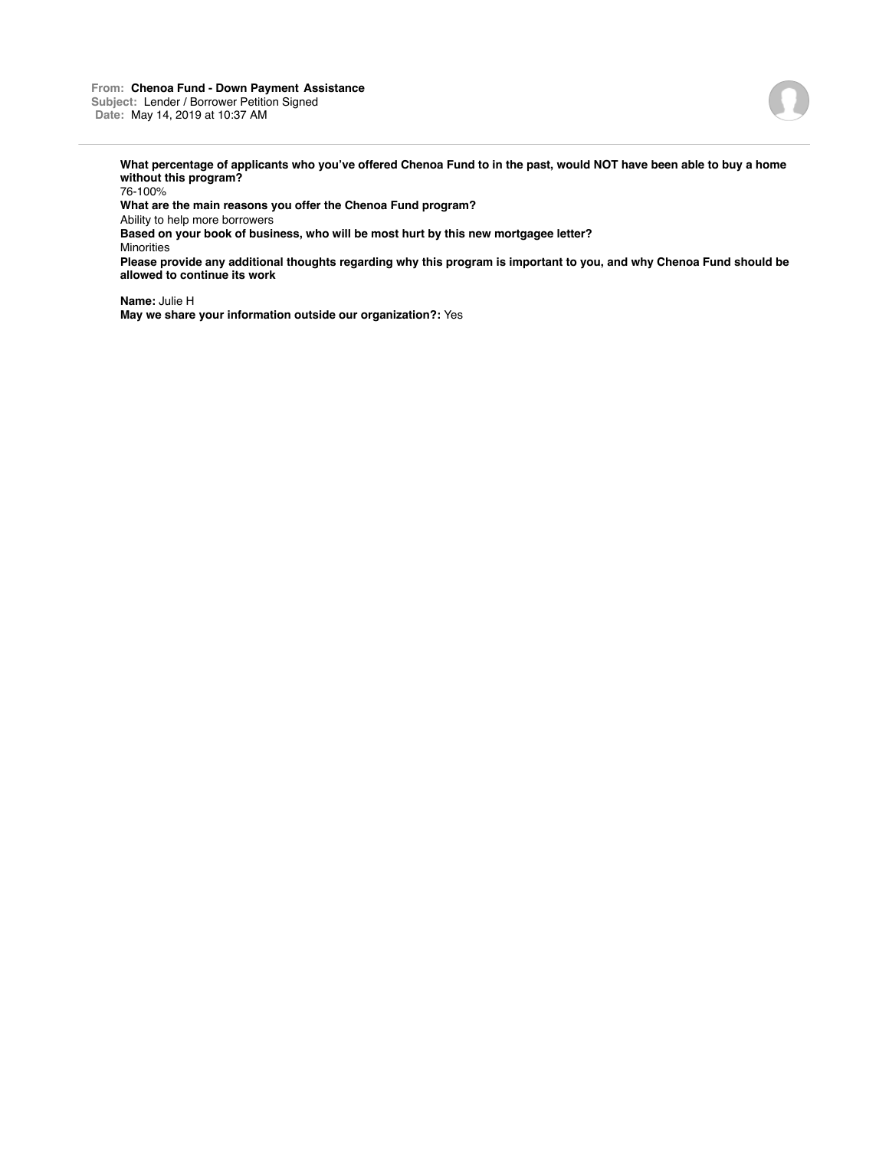

76-100% **What are the main reasons you offer the Chenoa Fund program?** Ability to help more borrowers **Based on your book of business, who will be most hurt by this new mortgagee letter?** Minorities **Please provide any additional thoughts regarding why this program is important to you, and why Chenoa Fund should be allowed to continue its work**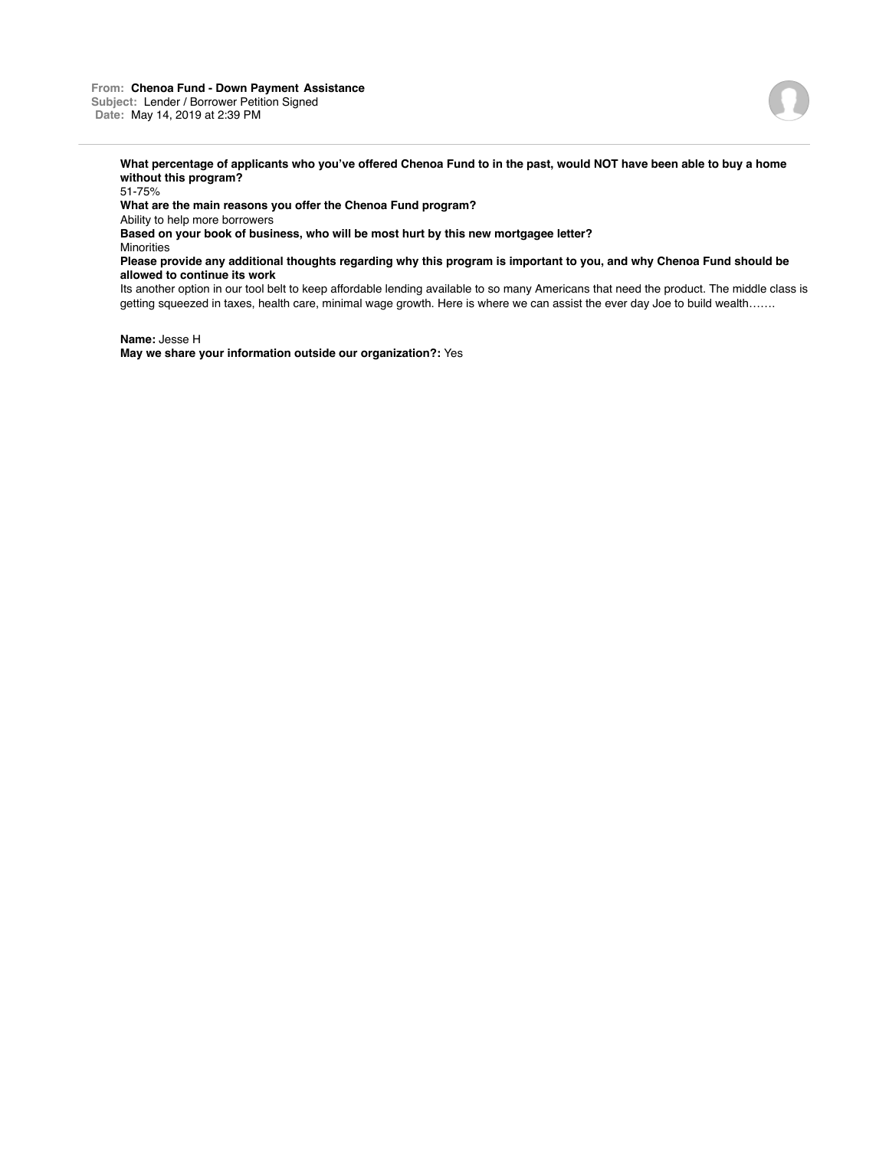

51-75%

**What are the main reasons you offer the Chenoa Fund program?**

Ability to help more borrowers

**Based on your book of business, who will be most hurt by this new mortgagee letter?**

**Minorities** 

**Please provide any additional thoughts regarding why this program is important to you, and why Chenoa Fund should be allowed to continue its work**

Its another option in our tool belt to keep affordable lending available to so many Americans that need the product. The middle class is getting squeezed in taxes, health care, minimal wage growth. Here is where we can assist the ever day Joe to build wealth…….

**Name:** Jesse H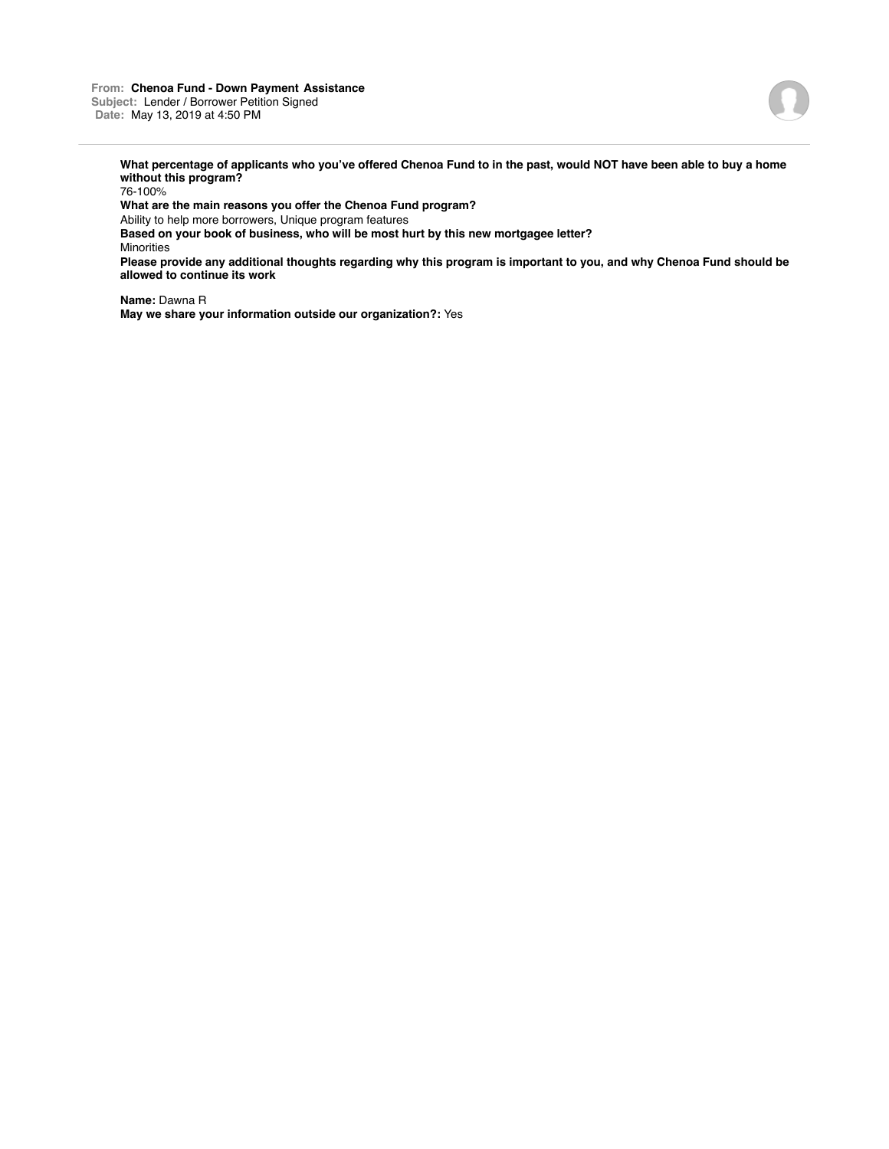

76-100%

**What are the main reasons you offer the Chenoa Fund program?**

Ability to help more borrowers, Unique program features

**Based on your book of business, who will be most hurt by this new mortgagee letter?** Minorities

**Please provide any additional thoughts regarding why this program is important to you, and why Chenoa Fund should be allowed to continue its work**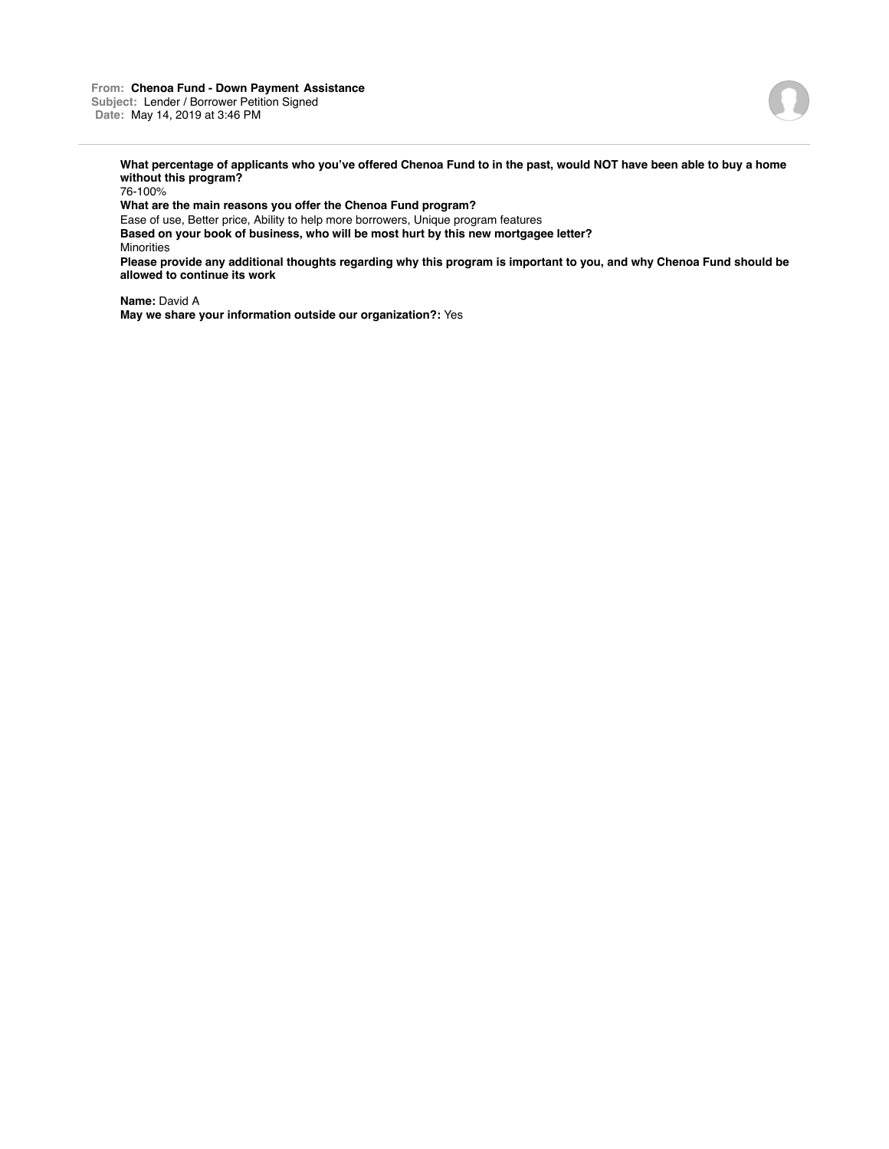

76-100%

**What are the main reasons you offer the Chenoa Fund program?**

Ease of use, Better price, Ability to help more borrowers, Unique program features **Based on your book of business, who will be most hurt by this new mortgagee letter?** Minorities

**Please provide any additional thoughts regarding why this program is important to you, and why Chenoa Fund should be allowed to continue its work**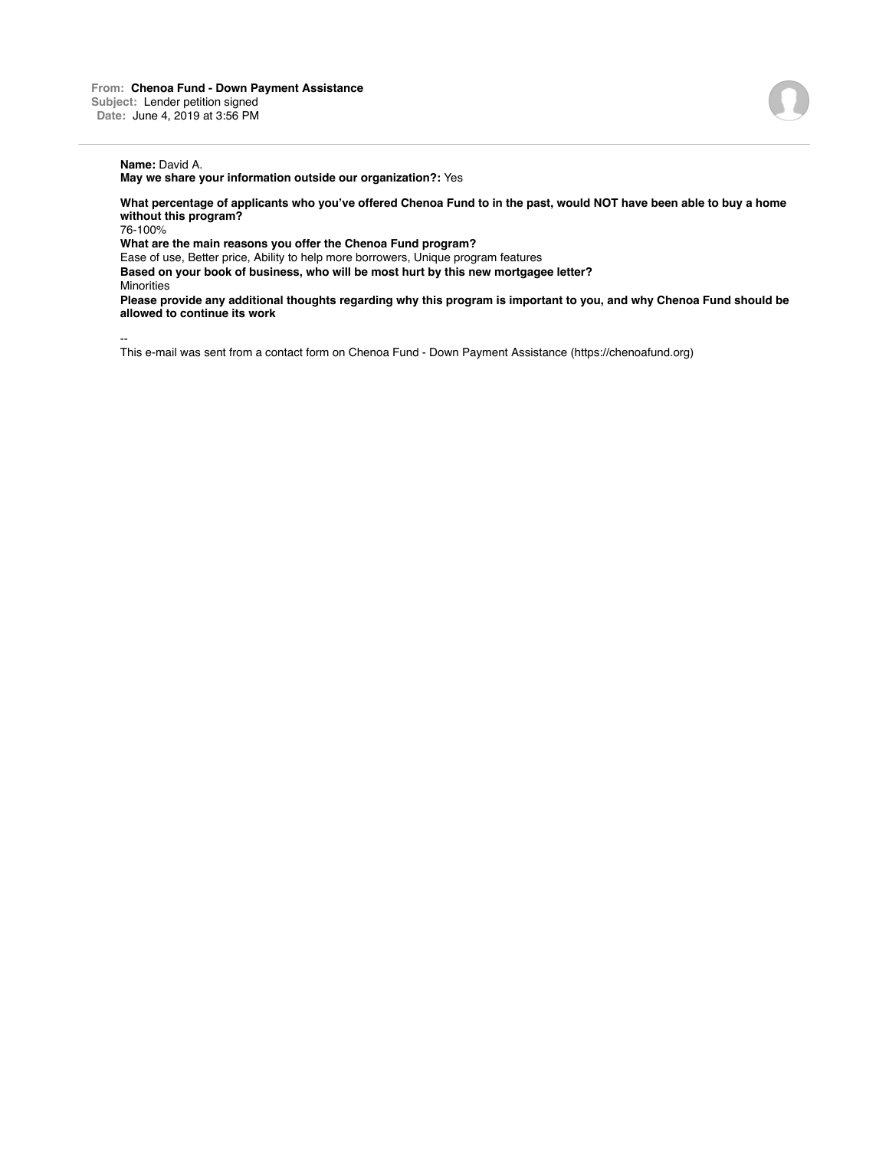**What percentage of applicants who you've offered Chenoa Fund to in the past, would NOT have been able to buy a home without this program?**

76-100%

**What are the main reasons you offer the Chenoa Fund program?**

Ease of use, Better price, Ability to help more borrowers, Unique program features **Based on your book of business, who will be most hurt by this new mortgagee letter?**

**Minorities** 

**Please provide any additional thoughts regarding why this program is important to you, and why Chenoa Fund should be allowed to continue its work**

--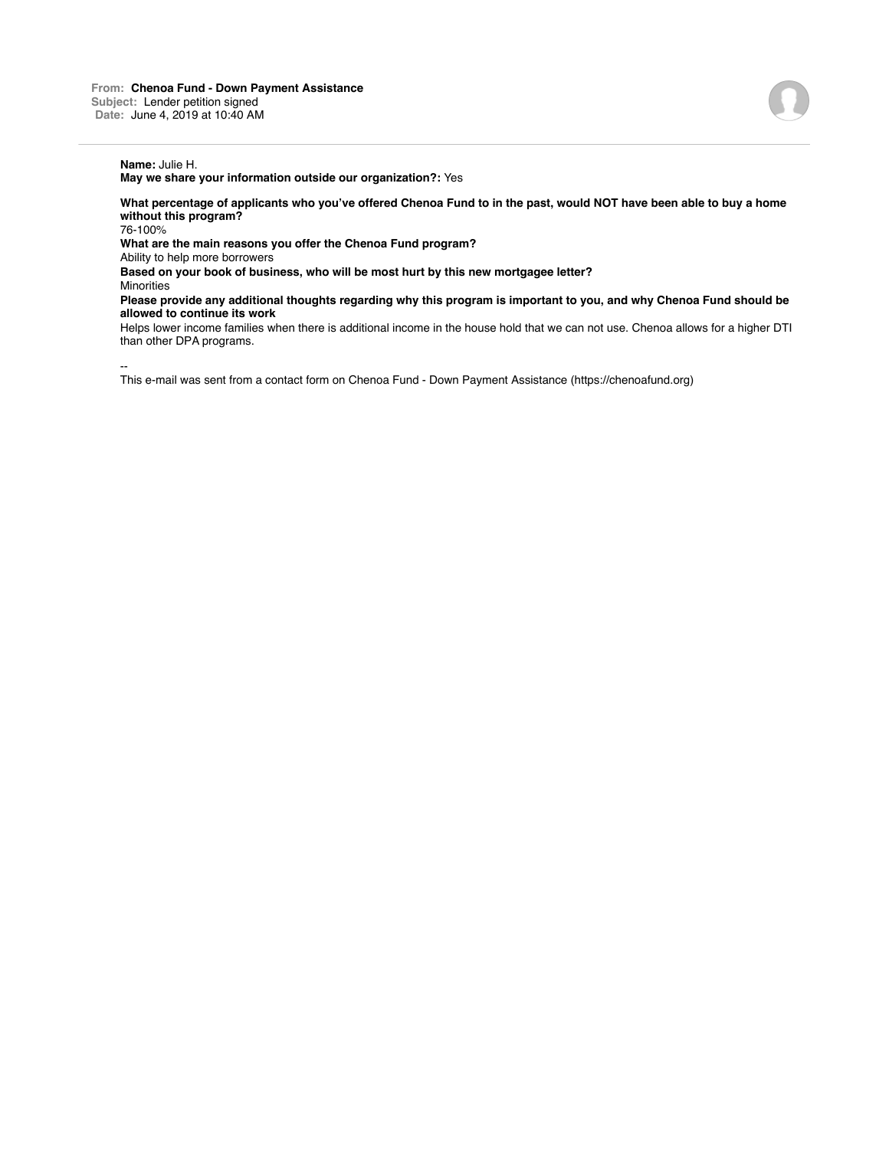**What percentage of applicants who you've offered Chenoa Fund to in the past, would NOT have been able to buy a home without this program?**

76-100%

**What are the main reasons you offer the Chenoa Fund program?**

Ability to help more borrowers

**Based on your book of business, who will be most hurt by this new mortgagee letter?**

**Minorities** 

**Please provide any additional thoughts regarding why this program is important to you, and why Chenoa Fund should be allowed to continue its work**

Helps lower income families when there is additional income in the house hold that we can not use. Chenoa allows for a higher DTI than other DPA programs.

--